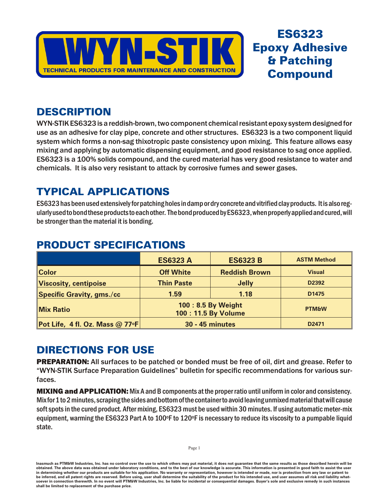

# **ES6323 Epoxy Adhesive & Patching Compound**

## **DESCRIPTION**

WYN-STIK ES6323 is a reddish-brown, two component chemical resistant epoxy system designed for use as an adhesive for clay pipe, concrete and other structures. ES6323 is a two component liquid system which forms a non-sag thixotropic paste consistency upon mixing. This feature allows easy mixing and applying by automatic dispensing equipment, and good resistance to sag once applied. ES6323 is a 100% solids compound, and the cured material has very good resistance to water and chemicals. It is also very resistant to attack by corrosive fumes and sewer gases.

# **TYPICAL APPLICATIONS**

ES6323 has been used extensively for patching holes in damp or dry concrete and vitrified clay products. It is also regularly used to bond these products to each other. The bond produced by ES6323, when properly applied and cured, will be stronger than the material it is bonding.

|                                   | <b>ES6323 A</b>                           | <b>ES6323 B</b>      | <b>ASTM Method</b> |
|-----------------------------------|-------------------------------------------|----------------------|--------------------|
| <b>Color</b>                      | <b>Off White</b>                          | <b>Reddish Brown</b> | <b>Visual</b>      |
| <b>Viscosity, centipoise</b>      | <b>Thin Paste</b>                         | <b>Jelly</b>         | D <sub>2392</sub>  |
| <b>Specific Gravity, gms./cc</b>  | 1.59                                      | 1.18                 | D <sub>1475</sub>  |
| <b>Mix Ratio</b>                  | 100: 8.5 By Weight<br>100: 11.5 By Volume |                      | <b>PTM&amp;W</b>   |
| Pot Life, 4 fl. Oz. Mass $@$ 77°F | <b>30 - 45 minutes</b>                    |                      | D <sub>2471</sub>  |

## **PRODUCT SPECIFICATIONS**

# **DIRECTIONS FOR USE**

**PREPARATION:** All surfaces to be patched or bonded must be free of oil, dirt and grease. Refer to "WYN-STIK Surface Preparation Guidelines" bulletin for specific recommendations for various surfaces.

**MIXING and APPLICATION:** Mix A and B components at the proper ratio until uniform in color and consistency. Mix for 1 to 2 minutes, scraping the sides and bottom of the container to avoid leaving unmixed material that will cause soft spots in the cured product. After mixing, ES6323 must be used within 30 minutes. If using automatic meter-mix equipment, warming the ES6323 Part A to 100°F to 120°F is necessary to reduce its viscosity to a pumpable liquid state.

Inasmuch as PTM&W Industries, Inc. has no control over the use to which others may put material, it does not guarantee that the same results as those described herein will be obtained. The above data was obtained under laboratory conditions, and to the best of our knowledge is accurate. This information is presented in good faith to assist the user in determining whether our products are suitable for his application. No warranty or representation, however is intended or made, nor is protection from any law be inferred, and all patent rights are reserved. Before using, user shall determine the suitability of the product for his intended use, and user assumes all risk and liability whatsoever in connection therewith. In no event will PTM&W Industries, Inc. be liable for incidental or consequential damages. Buyer's sole and exclusive remedy in such instances shall be limited to replacement of the purchase price.